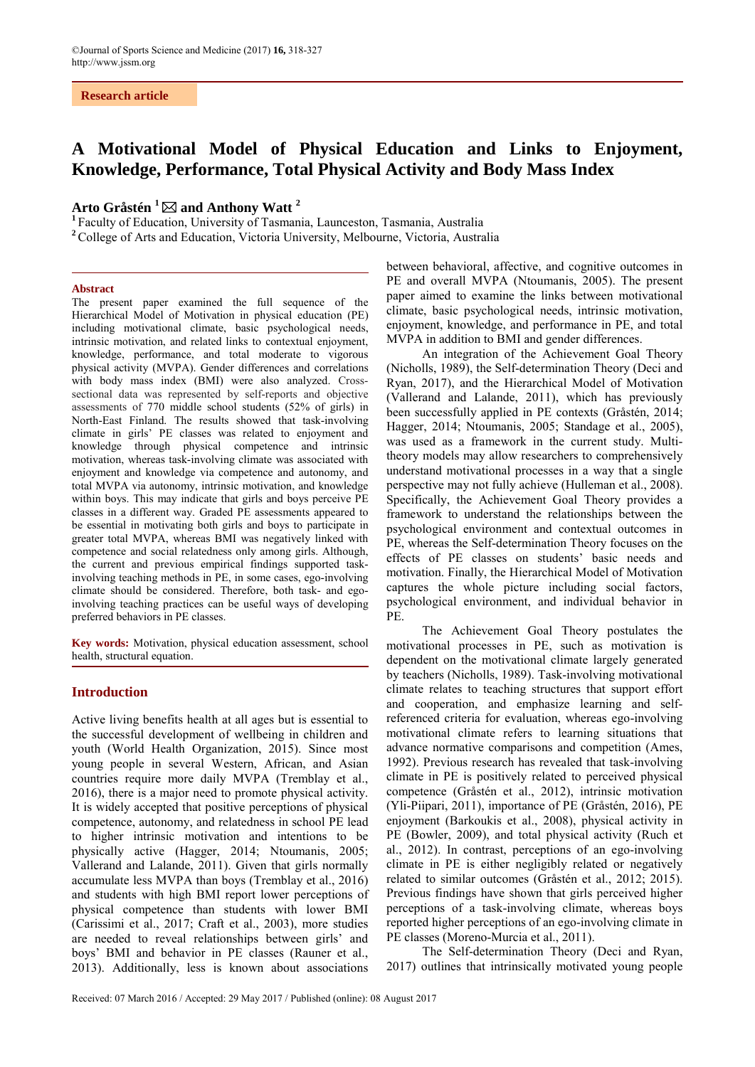#### **Research article**

# **A Motivational Model of Physical Education and Links to Enjoyment, Knowledge, Performance, Total Physical Activity and Body Mass Index**

## **Arto Gråstén <sup>1</sup> and Anthony Watt <sup>2</sup>**

**<sup>1</sup>** Faculty of Education, University of Tasmania, Launceston, Tasmania, Australia

**<sup>2</sup>** College of Arts and Education, Victoria University, Melbourne, Victoria, Australia

#### **Abstract**

The present paper examined the full sequence of the Hierarchical Model of Motivation in physical education (PE) including motivational climate, basic psychological needs, intrinsic motivation, and related links to contextual enjoyment, knowledge, performance, and total moderate to vigorous physical activity (MVPA). Gender differences and correlations with body mass index (BMI) were also analyzed. Crosssectional data was represented by self-reports and objective assessments of 770 middle school students (52% of girls) in North-East Finland. The results showed that task-involving climate in girls' PE classes was related to enjoyment and knowledge through physical competence and intrinsic motivation, whereas task-involving climate was associated with enjoyment and knowledge via competence and autonomy, and total MVPA via autonomy, intrinsic motivation, and knowledge within boys. This may indicate that girls and boys perceive PE classes in a different way. Graded PE assessments appeared to be essential in motivating both girls and boys to participate in greater total MVPA, whereas BMI was negatively linked with competence and social relatedness only among girls. Although, the current and previous empirical findings supported taskinvolving teaching methods in PE, in some cases, ego-involving climate should be considered. Therefore, both task- and egoinvolving teaching practices can be useful ways of developing preferred behaviors in PE classes.

**Key words:** Motivation, physical education assessment, school health, structural equation.

#### **Introduction**

Active living benefits health at all ages but is essential to the successful development of wellbeing in children and youth (World Health Organization, 2015). Since most young people in several Western, African, and Asian countries require more daily MVPA (Tremblay et al., 2016), there is a major need to promote physical activity. It is widely accepted that positive perceptions of physical competence, autonomy, and relatedness in school PE lead to higher intrinsic motivation and intentions to be physically active (Hagger, 2014; Ntoumanis, 2005; Vallerand and Lalande, 2011). Given that girls normally accumulate less MVPA than boys (Tremblay et al., 2016) and students with high BMI report lower perceptions of physical competence than students with lower BMI (Carissimi et al., 2017; Craft et al., 2003), more studies are needed to reveal relationships between girls' and boys' BMI and behavior in PE classes (Rauner et al., 2013). Additionally, less is known about associations between behavioral, affective, and cognitive outcomes in PE and overall MVPA (Ntoumanis, 2005). The present paper aimed to examine the links between motivational climate, basic psychological needs, intrinsic motivation, enjoyment, knowledge, and performance in PE, and total MVPA in addition to BMI and gender differences.

An integration of the Achievement Goal Theory (Nicholls, 1989), the Self-determination Theory (Deci and Ryan, 2017), and the Hierarchical Model of Motivation (Vallerand and Lalande, 2011), which has previously been successfully applied in PE contexts (Gråstén, 2014; Hagger, 2014; Ntoumanis, 2005; Standage et al., 2005), was used as a framework in the current study. Multitheory models may allow researchers to comprehensively understand motivational processes in a way that a single perspective may not fully achieve (Hulleman et al., 2008). Specifically, the Achievement Goal Theory provides a framework to understand the relationships between the psychological environment and contextual outcomes in PE, whereas the Self-determination Theory focuses on the effects of PE classes on students' basic needs and motivation. Finally, the Hierarchical Model of Motivation captures the whole picture including social factors, psychological environment, and individual behavior in PE.

The Achievement Goal Theory postulates the motivational processes in PE, such as motivation is dependent on the motivational climate largely generated by teachers (Nicholls, 1989). Task-involving motivational climate relates to teaching structures that support effort and cooperation, and emphasize learning and selfreferenced criteria for evaluation, whereas ego-involving motivational climate refers to learning situations that advance normative comparisons and competition (Ames, 1992). Previous research has revealed that task-involving climate in PE is positively related to perceived physical competence (Gråstén et al., 2012), intrinsic motivation (Yli-Piipari, 2011), importance of PE (Gråstén, 2016), PE enjoyment (Barkoukis et al., 2008), physical activity in PE (Bowler, 2009), and total physical activity (Ruch et al., 2012). In contrast, perceptions of an ego-involving climate in PE is either negligibly related or negatively related to similar outcomes (Gråstén et al., 2012; 2015). Previous findings have shown that girls perceived higher perceptions of a task-involving climate, whereas boys reported higher perceptions of an ego-involving climate in PE classes (Moreno-Murcia et al., 2011).

The Self-determination Theory (Deci and Ryan, 2017) outlines that intrinsically motivated young people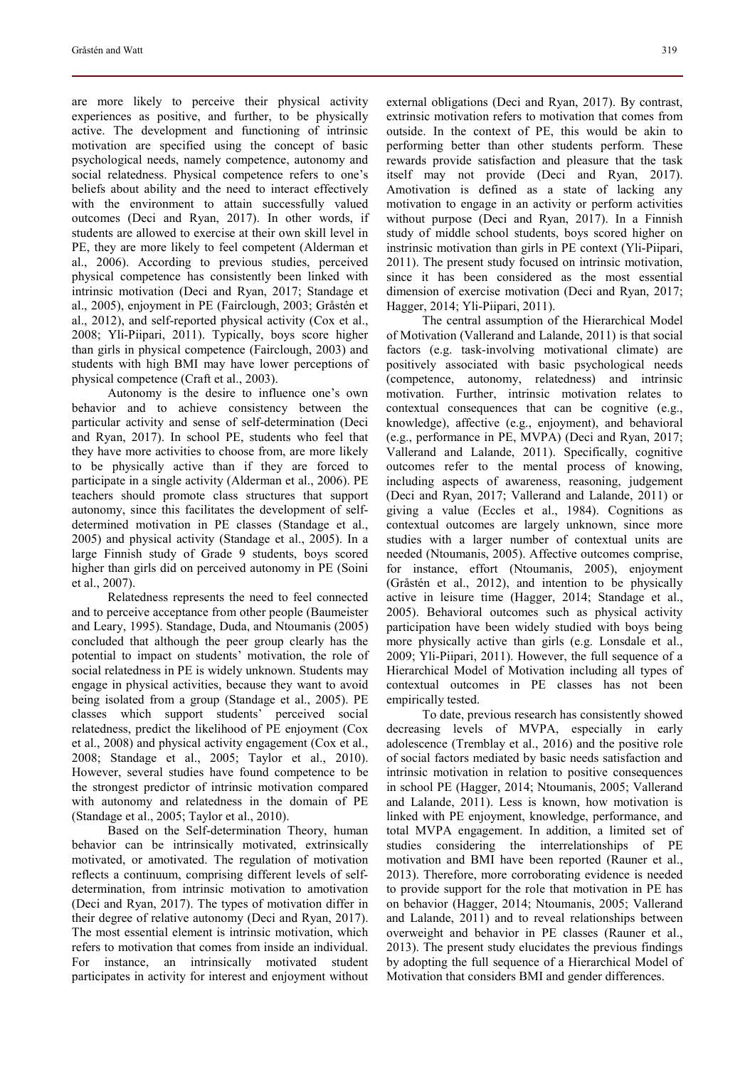are more likely to perceive their physical activity experiences as positive, and further, to be physically active. The development and functioning of intrinsic motivation are specified using the concept of basic psychological needs, namely competence, autonomy and social relatedness. Physical competence refers to one's beliefs about ability and the need to interact effectively with the environment to attain successfully valued outcomes (Deci and Ryan, 2017). In other words, if students are allowed to exercise at their own skill level in PE, they are more likely to feel competent (Alderman et al., 2006). According to previous studies, perceived physical competence has consistently been linked with intrinsic motivation (Deci and Ryan, 2017; Standage et al., 2005), enjoyment in PE (Fairclough, 2003; Gråstén et al., 2012), and self-reported physical activity (Cox et al., 2008; Yli-Piipari, 2011). Typically, boys score higher than girls in physical competence (Fairclough, 2003) and students with high BMI may have lower perceptions of physical competence (Craft et al., 2003).

Autonomy is the desire to influence one's own behavior and to achieve consistency between the particular activity and sense of self-determination (Deci and Ryan, 2017). In school PE, students who feel that they have more activities to choose from, are more likely to be physically active than if they are forced to participate in a single activity (Alderman et al., 2006). PE teachers should promote class structures that support autonomy, since this facilitates the development of selfdetermined motivation in PE classes (Standage et al., 2005) and physical activity (Standage et al., 2005). In a large Finnish study of Grade 9 students, boys scored higher than girls did on perceived autonomy in PE (Soini et al., 2007).

Relatedness represents the need to feel connected and to perceive acceptance from other people (Baumeister and Leary, 1995). Standage, Duda, and Ntoumanis (2005) concluded that although the peer group clearly has the potential to impact on students' motivation, the role of social relatedness in PE is widely unknown. Students may engage in physical activities, because they want to avoid being isolated from a group (Standage et al., 2005). PE classes which support students' perceived social relatedness, predict the likelihood of PE enjoyment (Cox et al., 2008) and physical activity engagement (Cox et al., 2008; Standage et al., 2005; Taylor et al., 2010). However, several studies have found competence to be the strongest predictor of intrinsic motivation compared with autonomy and relatedness in the domain of PE (Standage et al., 2005; Taylor et al., 2010).

Based on the Self-determination Theory, human behavior can be intrinsically motivated, extrinsically motivated, or amotivated. The regulation of motivation reflects a continuum, comprising different levels of selfdetermination, from intrinsic motivation to amotivation (Deci and Ryan, 2017). The types of motivation differ in their degree of relative autonomy (Deci and Ryan, 2017). The most essential element is intrinsic motivation, which refers to motivation that comes from inside an individual. For instance, an intrinsically motivated student participates in activity for interest and enjoyment without external obligations (Deci and Ryan, 2017). By contrast, extrinsic motivation refers to motivation that comes from outside. In the context of PE, this would be akin to performing better than other students perform. These rewards provide satisfaction and pleasure that the task itself may not provide (Deci and Ryan, 2017). Amotivation is defined as a state of lacking any motivation to engage in an activity or perform activities without purpose (Deci and Ryan, 2017). In a Finnish study of middle school students, boys scored higher on instrinsic motivation than girls in PE context (Yli-Piipari, 2011). The present study focused on intrinsic motivation, since it has been considered as the most essential dimension of exercise motivation (Deci and Ryan, 2017; Hagger, 2014; Yli-Piipari, 2011).

The central assumption of the Hierarchical Model of Motivation (Vallerand and Lalande, 2011) is that social factors (e.g. task-involving motivational climate) are positively associated with basic psychological needs (competence, autonomy, relatedness) and intrinsic motivation. Further, intrinsic motivation relates to contextual consequences that can be cognitive (e.g., knowledge), affective (e.g., enjoyment), and behavioral (e.g., performance in PE, MVPA) (Deci and Ryan, 2017; Vallerand and Lalande, 2011). Specifically, cognitive outcomes refer to the mental process of knowing, including aspects of awareness, reasoning, judgement (Deci and Ryan, 2017; Vallerand and Lalande, 2011) or giving a value (Eccles et al., 1984). Cognitions as contextual outcomes are largely unknown, since more studies with a larger number of contextual units are needed (Ntoumanis, 2005). Affective outcomes comprise, for instance, effort (Ntoumanis, 2005), enjoyment (Gråstén et al., 2012), and intention to be physically active in leisure time (Hagger, 2014; Standage et al., 2005). Behavioral outcomes such as physical activity participation have been widely studied with boys being more physically active than girls (e.g. Lonsdale et al., 2009; Yli-Piipari, 2011). However, the full sequence of a Hierarchical Model of Motivation including all types of contextual outcomes in PE classes has not been empirically tested.

To date, previous research has consistently showed decreasing levels of MVPA, especially in early adolescence (Tremblay et al., 2016) and the positive role of social factors mediated by basic needs satisfaction and intrinsic motivation in relation to positive consequences in school PE (Hagger, 2014; Ntoumanis, 2005; Vallerand and Lalande, 2011). Less is known, how motivation is linked with PE enjoyment, knowledge, performance, and total MVPA engagement. In addition, a limited set of studies considering the interrelationships of PE motivation and BMI have been reported (Rauner et al., 2013). Therefore, more corroborating evidence is needed to provide support for the role that motivation in PE has on behavior (Hagger, 2014; Ntoumanis, 2005; Vallerand and Lalande, 2011) and to reveal relationships between overweight and behavior in PE classes (Rauner et al., 2013). The present study elucidates the previous findings by adopting the full sequence of a Hierarchical Model of Motivation that considers BMI and gender differences.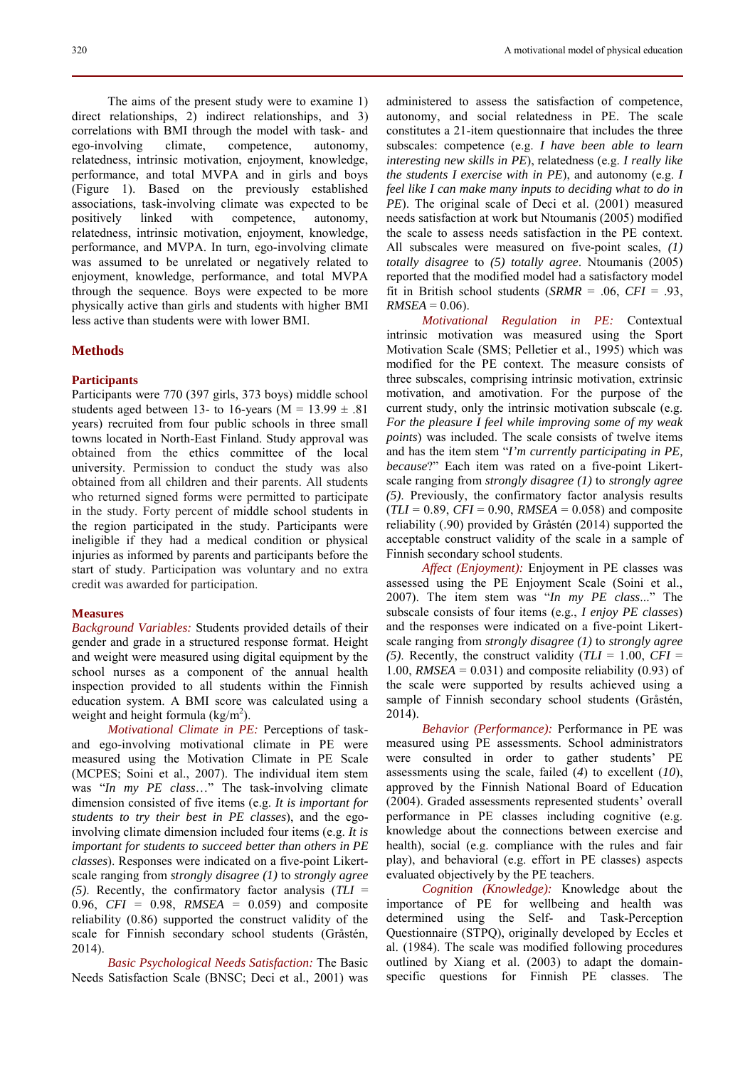320 A motivational model of physical education

The aims of the present study were to examine 1) direct relationships, 2) indirect relationships, and 3) correlations with BMI through the model with task- and ego-involving climate, competence, autonomy, relatedness, intrinsic motivation, enjoyment, knowledge, performance, and total MVPA and in girls and boys (Figure 1). Based on the previously established associations, task-involving climate was expected to be positively linked with competence, autonomy, relatedness, intrinsic motivation, enjoyment, knowledge, performance, and MVPA. In turn, ego-involving climate was assumed to be unrelated or negatively related to enjoyment, knowledge, performance, and total MVPA through the sequence. Boys were expected to be more physically active than girls and students with higher BMI less active than students were with lower BMI.

#### **Methods**

#### **Participants**

Participants were 770 (397 girls, 373 boys) middle school students aged between 13- to 16-years ( $M = 13.99 \pm .81$ ) years) recruited from four public schools in three small towns located in North-East Finland. Study approval was obtained from the ethics committee of the local university. Permission to conduct the study was also obtained from all children and their parents. All students who returned signed forms were permitted to participate in the study. Forty percent of middle school students in the region participated in the study. Participants were ineligible if they had a medical condition or physical injuries as informed by parents and participants before the start of study. Participation was voluntary and no extra credit was awarded for participation.

#### **Measures**

*Background Variables:* Students provided details of their gender and grade in a structured response format. Height and weight were measured using digital equipment by the school nurses as a component of the annual health inspection provided to all students within the Finnish education system. A BMI score was calculated using a weight and height formula  $\frac{\text{kg}}{m^2}$ ).

*Motivational Climate in PE:* Perceptions of taskand ego-involving motivational climate in PE were measured using the Motivation Climate in PE Scale (MCPES; Soini et al., 2007). The individual item stem was "*In my PE class*…" The task-involving climate dimension consisted of five items (e.g. *It is important for students to try their best in PE classes*), and the egoinvolving climate dimension included four items (e.g. *It is important for students to succeed better than others in PE classes*). Responses were indicated on a five-point Likertscale ranging from *strongly disagree (1)* to *strongly agree (5)*. Recently, the confirmatory factor analysis (*TLI* = 0.96, *CFI* = 0.98, *RMSEA* = 0.059) and composite reliability (0.86) supported the construct validity of the scale for Finnish secondary school students (Gråstén, 2014).

*Basic Psychological Needs Satisfaction:* The Basic Needs Satisfaction Scale (BNSC; Deci et al., 2001) was

administered to assess the satisfaction of competence, autonomy, and social relatedness in PE. The scale constitutes a 21-item questionnaire that includes the three subscales: competence (e.g. *I have been able to learn interesting new skills in PE*), relatedness (e.g. *I really like the students I exercise with in PE*), and autonomy (e.g. *I feel like I can make many inputs to deciding what to do in PE*). The original scale of Deci et al. (2001) measured needs satisfaction at work but Ntoumanis (2005) modified the scale to assess needs satisfaction in the PE context. All subscales were measured on five-point scales, *(1) totally disagree* to *(5) totally agree*. Ntoumanis (2005) reported that the modified model had a satisfactory model fit in British school students (*SRMR* = .06, *CFI* = .93,  $RMSEA = 0.06$ .

*Motivational Regulation in PE:* Contextual intrinsic motivation was measured using the Sport Motivation Scale (SMS; Pelletier et al., 1995) which was modified for the PE context. The measure consists of three subscales, comprising intrinsic motivation, extrinsic motivation, and amotivation. For the purpose of the current study, only the intrinsic motivation subscale (e.g. *For the pleasure I feel while improving some of my weak points*) was included. The scale consists of twelve items and has the item stem "*I'm currently participating in PE, because*?" Each item was rated on a five-point Likertscale ranging from *strongly disagree (1)* to *strongly agree (5)*. Previously, the confirmatory factor analysis results  $(TLI = 0.89, CFI = 0.90, RMSEA = 0.058)$  and composite reliability (.90) provided by Gråstén (2014) supported the acceptable construct validity of the scale in a sample of Finnish secondary school students.

*Affect (Enjoyment):* Enjoyment in PE classes was assessed using the PE Enjoyment Scale (Soini et al., 2007). The item stem was "*In my PE class*..." The subscale consists of four items (e.g., *I enjoy PE classes*) and the responses were indicated on a five-point Likertscale ranging from *strongly disagree (1)* to *strongly agree (5)*. Recently, the construct validity  $(TLI = 1.00, CFI =$ 1.00, *RMSEA* =  $0.031$ ) and composite reliability (0.93) of the scale were supported by results achieved using a sample of Finnish secondary school students (Gråstén, 2014).

*Behavior (Performance):* Performance in PE was measured using PE assessments. School administrators were consulted in order to gather students' PE assessments using the scale, failed (*4*) to excellent (*10*), approved by the Finnish National Board of Education (2004). Graded assessments represented students' overall performance in PE classes including cognitive (e.g. knowledge about the connections between exercise and health), social (e.g. compliance with the rules and fair play), and behavioral (e.g. effort in PE classes) aspects evaluated objectively by the PE teachers.

*Cognition (Knowledge):* Knowledge about the importance of PE for wellbeing and health was determined using the Self- and Task-Perception Questionnaire (STPQ), originally developed by Eccles et al. (1984). The scale was modified following procedures outlined by Xiang et al. (2003) to adapt the domainspecific questions for Finnish PE classes. The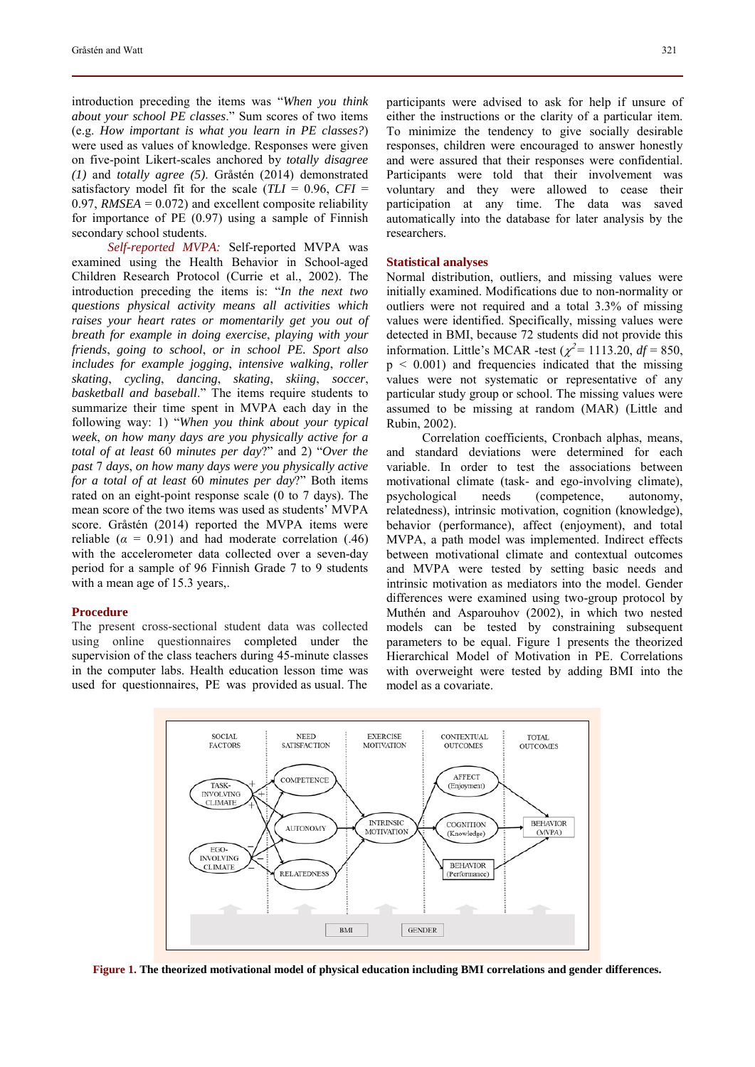introduction preceding the items was "*When you think about your school PE classes*." Sum scores of two items (e.g. *How important is what you learn in PE classes?*) were used as values of knowledge. Responses were given on five-point Likert-scales anchored by *totally disagree (1)* and *totally agree (5)*. Gråstén (2014) demonstrated satisfactory model fit for the scale  $(TLI = 0.96, CFI =$ 0.97, *RMSEA* = 0.072) and excellent composite reliability for importance of PE (0.97) using a sample of Finnish secondary school students.

*Self-reported MVPA:* Self-reported MVPA was examined using the Health Behavior in School-aged Children Research Protocol (Currie et al., 2002). The introduction preceding the items is: "*In the next two questions physical activity means all activities which raises your heart rates or momentarily get you out of breath for example in doing exercise*, *playing with your friends*, *going to school*, *or in school PE. Sport also includes for example jogging*, *intensive walking*, *roller skating*, *cycling*, *dancing*, *skating*, *skiing*, *soccer*, *basketball and baseball*." The items require students to summarize their time spent in MVPA each day in the following way: 1) "*When you think about your typical week*, *on how many days are you physically active for a total of at least* 60 *minutes per day*?" and 2) "*Over the past* 7 *days*, *on how many days were you physically active for a total of at least* 60 *minutes per day*?" Both items rated on an eight-point response scale (0 to 7 days). The mean score of the two items was used as students' MVPA score. Gråstén (2014) reported the MVPA items were reliable  $(a = 0.91)$  and had moderate correlation  $(.46)$ with the accelerometer data collected over a seven-day period for a sample of 96 Finnish Grade 7 to 9 students with a mean age of 15.3 years,.

#### **Procedure**

The present cross-sectional student data was collected using online questionnaires completed under the supervision of the class teachers during 45-minute classes in the computer labs. Health education lesson time was used for questionnaires, PE was provided as usual. The

participants were advised to ask for help if unsure of either the instructions or the clarity of a particular item. To minimize the tendency to give socially desirable responses, children were encouraged to answer honestly and were assured that their responses were confidential. Participants were told that their involvement was voluntary and they were allowed to cease their participation at any time. The data was saved automatically into the database for later analysis by the researchers.

#### **Statistical analyses**

Normal distribution, outliers, and missing values were initially examined. Modifications due to non-normality or outliers were not required and a total 3.3% of missing values were identified. Specifically, missing values were detected in BMI, because 72 students did not provide this information. Little's MCAR -test  $(\chi^2 = 1113.20, df = 850,$ p < 0.001) and frequencies indicated that the missing values were not systematic or representative of any particular study group or school. The missing values were assumed to be missing at random (MAR) (Little and Rubin, 2002).

Correlation coefficients, Cronbach alphas, means, and standard deviations were determined for each variable. In order to test the associations between motivational climate (task- and ego-involving climate), psychological needs (competence, autonomy, relatedness), intrinsic motivation, cognition (knowledge), behavior (performance), affect (enjoyment), and total MVPA, a path model was implemented. Indirect effects between motivational climate and contextual outcomes and MVPA were tested by setting basic needs and intrinsic motivation as mediators into the model. Gender differences were examined using two-group protocol by Muthén and Asparouhov (2002), in which two nested models can be tested by constraining subsequent parameters to be equal. Figure 1 presents the theorized Hierarchical Model of Motivation in PE. Correlations with overweight were tested by adding BMI into the model as a covariate.



**Figure 1. The theorized motivational model of physical education including BMI correlations and gender differences.**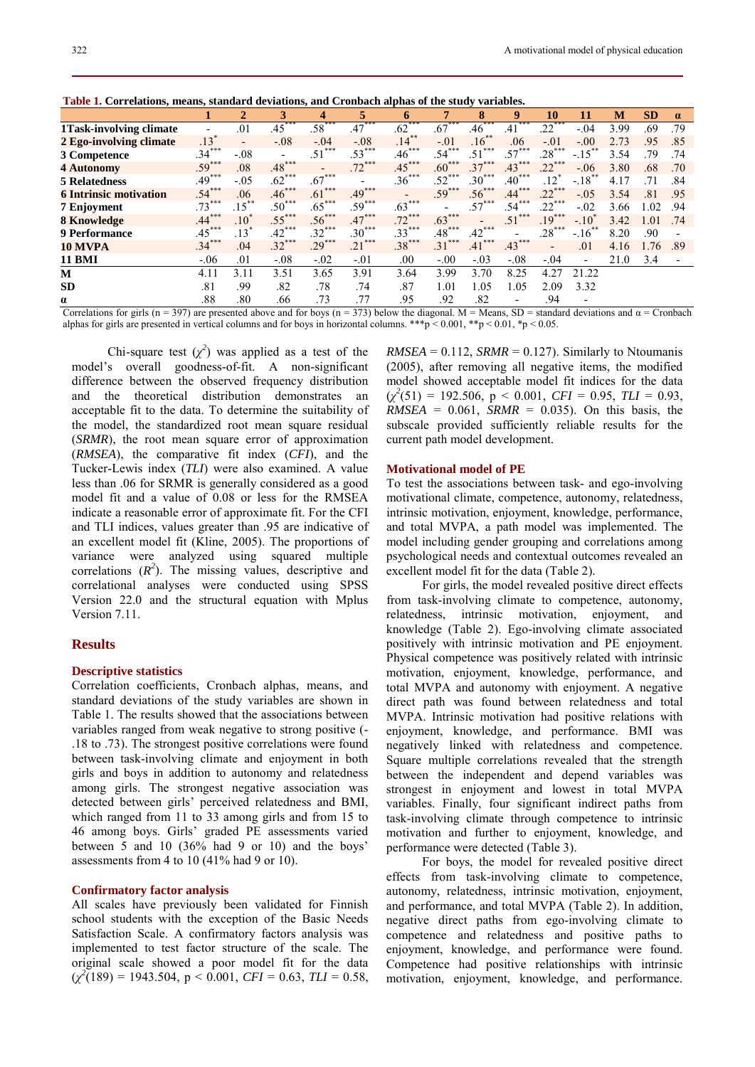| Table 1. Correlations, means, standard deviations, and Cronbach alphas of the study variables. |  |  |  |  |  |
|------------------------------------------------------------------------------------------------|--|--|--|--|--|
|------------------------------------------------------------------------------------------------|--|--|--|--|--|

|                               |                          | $\overline{2}$           | 3          | 4        | 5                      | 6        | 7                       | 8                       | 9                        | 10                       | 11                       | М    | <b>SD</b> | $\alpha$ |
|-------------------------------|--------------------------|--------------------------|------------|----------|------------------------|----------|-------------------------|-------------------------|--------------------------|--------------------------|--------------------------|------|-----------|----------|
| 1 Task-involving climate      | $\overline{\phantom{a}}$ | .01                      | ***<br>.45 | $.58***$ | $.47***$               | $.62***$ | $.67***$                | .46                     | ***<br>.41               | $.22***$                 | $-.04$                   | 3.99 | .69       | .79      |
| 2 Ego-involving climate       | .13 <sup>′</sup>         | $\overline{\phantom{a}}$ | $-.08$     | $-.04$   | $-.08$                 | $.14***$ | $-.01$                  | $.16***$                | .06                      | $-.01$                   | $-.00$                   | 2.73 | .95       | .85      |
| 3 Competence                  | $.34***$                 | $-.08$                   | -          | .51      | ***<br>$.53^{\degree}$ | $.46***$ | $.54$ <sup>*</sup>      | ***<br>.51              | ***<br>$.57^{\degree}$   | ***<br>$.28^\circ$       | $-.15$ <sup>*</sup>      | 3.54 | .79       | .74      |
| <b>4 Autonomy</b>             | $.59***$                 | .08                      | $.48***$   |          | $.72***$               | $.45***$ | $.60***$                | $.37***$                | $.43***$                 | $.22***$                 | $-.06$                   | 3.80 | .68       | .70      |
| <b>5 Relatedness</b>          | $.49***$                 | $-.05$                   | $.62***$   | $.67***$ |                        | $.36***$ | $.52***$                | ***<br>.30 <sup>°</sup> | $.40***$                 | $.12*$                   | $-.18$                   | 4.17 | .71       | .84      |
| <b>6 Intrinsic motivation</b> | $.54***$                 | .06                      | $.46***$   | $.61***$ | $.49***$               |          | $.59***$                | $.56***$                | $.44***$                 | $.22***$                 | $-.05$                   | 3.54 | .81       | .95      |
| 7 Enjoyment                   | $.73***$                 | $.15***$                 | $.50***$   | $.65***$ | $.59***$               | $.63***$ |                         | $.57***$                | .54                      | $.22***$                 | $-.02$                   | 3.66 | 1.02      | .94      |
| <b>8 Knowledge</b>            | $.44***$                 | .10 <sup>°</sup>         | $.55***$   | $.56***$ | $.47***$               | $.72***$ | $.63***$                |                         | .51                      | $.19***$                 | $-.10^{\degree}$         | 3.42 | 1.01      | .74      |
| <b>9 Performance</b>          | $.45***$                 | $.13*$                   | $.42***$   | $.32***$ | $.30***$               | $.33***$ | $.48***$                | $.42***$                | $\overline{\phantom{0}}$ | $.28***$                 | $-.16$ <sup>*</sup>      | 8.20 | .90       |          |
| 10 MVPA                       | $.34***$                 | .04                      | $.32***$   | $.29***$ | ***<br>.21             | $.38***$ | ***<br>.31 <sup>2</sup> | $.41***$                | $.43***$                 | $\overline{\phantom{a}}$ | .01                      | 4.16 | 1.76      | .89      |
| <b>11 BMI</b>                 | $-.06$                   | .01                      | $-.08$     | $-.02$   | $-.01$                 | .00      | $-.00$                  | $-.03$                  | $-.08$                   | $-.04$                   | $\overline{\phantom{a}}$ | 21.0 | 3.4       |          |
| М                             | 4.11                     | 3.11                     | 3.51       | 3.65     | 3.91                   | 3.64     | 3.99                    | 3.70                    | 8.25                     | 4.27                     | 21.22                    |      |           |          |
| SD                            | .81                      | .99                      | .82        | .78      | .74                    | .87      | 1.01                    | 1.05                    | 1.05                     | 2.09                     | 3.32                     |      |           |          |
| α                             | .88                      | .80                      | .66        | .73      | .77                    | .95      | .92                     | .82                     | -                        | .94                      | $\overline{\phantom{a}}$ |      |           |          |

Correlations for girls (n = 397) are presented above and for boys (n = 373) below the diagonal. M = Means, SD = standard deviations and  $\alpha$  = Cronbach alphas for girls are presented in vertical columns and for boys in horizontal columns. \*\*\*p < 0.001, \*\*p < 0.01, \*p < 0.05.

Chi-square test  $(\chi^2)$  was applied as a test of the model's overall goodness-of-fit. A non-significant difference between the observed frequency distribution and the theoretical distribution demonstrates an acceptable fit to the data. To determine the suitability of the model, the standardized root mean square residual (*SRMR*), the root mean square error of approximation (*RMSEA*), the comparative fit index (*CFI*), and the Tucker-Lewis index (*TLI*) were also examined. A value less than .06 for SRMR is generally considered as a good model fit and a value of 0.08 or less for the RMSEA indicate a reasonable error of approximate fit. For the CFI and TLI indices, values greater than .95 are indicative of an excellent model fit (Kline, 2005). The proportions of variance were analyzed using squared multiple correlations  $(R^2)$ . The missing values, descriptive and correlational analyses were conducted using SPSS Version 22.0 and the structural equation with Mplus Version 7.11.

### **Results**

#### **Descriptive statistics**

Correlation coefficients, Cronbach alphas, means, and standard deviations of the study variables are shown in Table 1. The results showed that the associations between variables ranged from weak negative to strong positive (- .18 to .73). The strongest positive correlations were found between task-involving climate and enjoyment in both girls and boys in addition to autonomy and relatedness among girls. The strongest negative association was detected between girls' perceived relatedness and BMI, which ranged from 11 to 33 among girls and from 15 to 46 among boys. Girls' graded PE assessments varied between 5 and 10 (36% had 9 or 10) and the boys' assessments from 4 to 10 (41% had 9 or 10).

#### **Confirmatory factor analysis**

All scales have previously been validated for Finnish school students with the exception of the Basic Needs Satisfaction Scale. A confirmatory factors analysis was implemented to test factor structure of the scale. The original scale showed a poor model fit for the data  $(\chi^2(189) = 1943.504, p < 0.001, CFI = 0.63, TLI = 0.58,$   $RMSEA = 0.112$ ,  $SRMR = 0.127$ ). Similarly to Ntoumanis (2005), after removing all negative items, the modified model showed acceptable model fit indices for the data  $(\chi^2(51) = 192.506, p < 0.001, CFI = 0.95, TLI = 0.93,$  $RMSEA = 0.061$ ,  $SRMR = 0.035$ ). On this basis, the subscale provided sufficiently reliable results for the current path model development.

#### **Motivational model of PE**

To test the associations between task- and ego-involving motivational climate, competence, autonomy, relatedness, intrinsic motivation, enjoyment, knowledge, performance, and total MVPA, a path model was implemented. The model including gender grouping and correlations among psychological needs and contextual outcomes revealed an excellent model fit for the data (Table 2).

For girls, the model revealed positive direct effects from task-involving climate to competence, autonomy, relatedness, intrinsic motivation, enjoyment, and knowledge (Table 2). Ego-involving climate associated positively with intrinsic motivation and PE enjoyment. Physical competence was positively related with intrinsic motivation, enjoyment, knowledge, performance, and total MVPA and autonomy with enjoyment. A negative direct path was found between relatedness and total MVPA. Intrinsic motivation had positive relations with enjoyment, knowledge, and performance. BMI was negatively linked with relatedness and competence. Square multiple correlations revealed that the strength between the independent and depend variables was strongest in enjoyment and lowest in total MVPA variables. Finally, four significant indirect paths from task-involving climate through competence to intrinsic motivation and further to enjoyment, knowledge, and performance were detected (Table 3).

For boys, the model for revealed positive direct effects from task-involving climate to competence, autonomy, relatedness, intrinsic motivation, enjoyment, and performance, and total MVPA (Table 2). In addition, negative direct paths from ego-involving climate to competence and relatedness and positive paths to enjoyment, knowledge, and performance were found. Competence had positive relationships with intrinsic motivation, enjoyment, knowledge, and performance.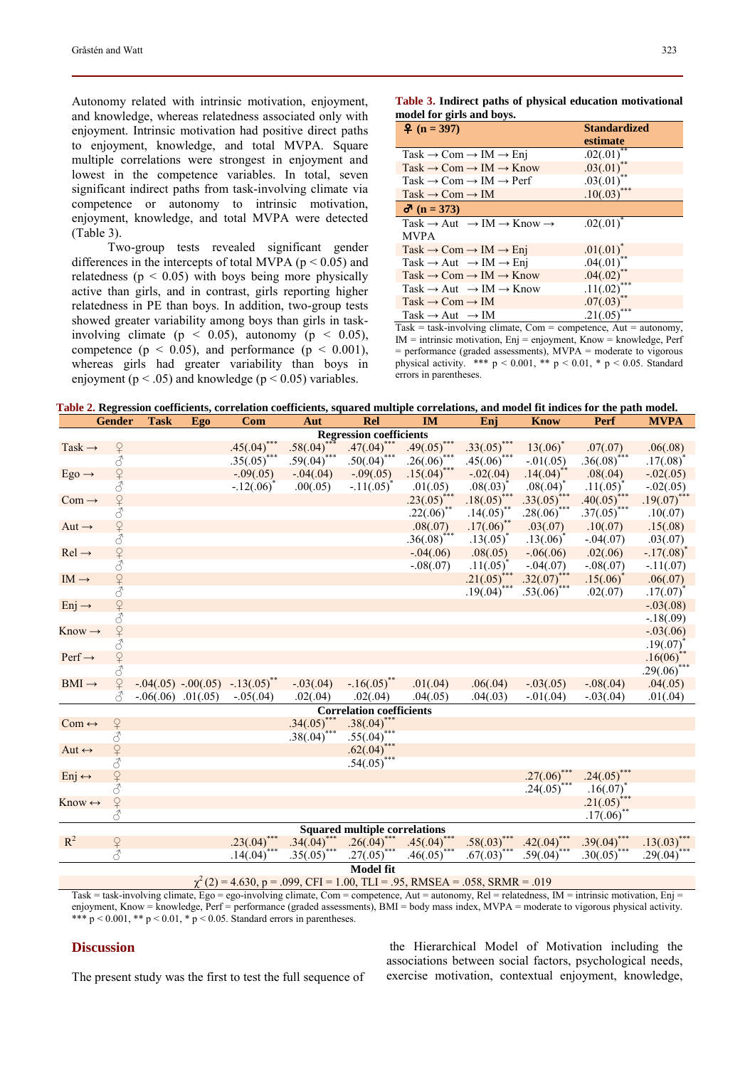Autonomy related with intrinsic motivation, enjoyment, and knowledge, whereas relatedness associated only with enjoyment. Intrinsic motivation had positive direct paths to enjoyment, knowledge, and total MVPA. Square multiple correlations were strongest in enjoyment and lowest in the competence variables. In total, seven significant indirect paths from task-involving climate via competence or autonomy to intrinsic motivation, enjoyment, knowledge, and total MVPA were detected (Table 3).

Two-group tests revealed significant gender differences in the intercepts of total MVPA ( $p < 0.05$ ) and relatedness ( $p < 0.05$ ) with boys being more physically active than girls, and in contrast, girls reporting higher relatedness in PE than boys. In addition, two-group tests showed greater variability among boys than girls in taskinvolving climate ( $p \le 0.05$ ), autonomy ( $p \le 0.05$ ), competence ( $p < 0.05$ ), and performance ( $p < 0.001$ ), whereas girls had greater variability than boys in enjoyment ( $p < .05$ ) and knowledge ( $p < 0.05$ ) variables.

**Table 3. Indirect paths of physical education motivational model for girls and boys.** 

| $\frac{9}{2}$ (n = 397)                                                  | <b>Standardized</b>   |
|--------------------------------------------------------------------------|-----------------------|
|                                                                          | estimate              |
| $Task \rightarrow Com \rightarrow IM \rightarrow Enj$                    | $.02(.01)^*$          |
| $Task \rightarrow Com \rightarrow IM \rightarrow Know$                   | $.03(.01)^*$          |
| Task $\rightarrow$ Com $\rightarrow$ IM $\rightarrow$ Perf               | .03(.01)              |
| $Task \rightarrow Com \rightarrow IM$                                    | .10(.03)              |
| $\sigma$ (n = 373)                                                       |                       |
| Task $\rightarrow$ Aut $\rightarrow$ IM $\rightarrow$ Know $\rightarrow$ | $.02(.01)^{^{\circ}}$ |
| <b>MVPA</b>                                                              |                       |
| $Task \rightarrow Com \rightarrow IM \rightarrow Eni$                    | $.01(.01)^{*}$        |
| Task $\rightarrow$ Aut $\rightarrow$ IM $\rightarrow$ Enj                | .04(.01)              |
| $Task \rightarrow Com \rightarrow IM \rightarrow Know$                   | $.04(.02)$ **         |
| $Task \rightarrow Aut \rightarrow IM \rightarrow Know$                   | ***<br>.11(.02)       |
| $Task \rightarrow Com \rightarrow IM$                                    | .07(.03)              |
| Task $\rightarrow$ Aut $\rightarrow$ IM                                  | .21(.05)              |

 $Task = task-involving climate, Com = competence, Aut = automomy,$ IM = intrinsic motivation, Enj = enjoyment, Know = knowledge, Perf = performance (graded assessments), MVPA = moderate to vigorous physical activity. \*\*\*  $p < 0.001$ , \*\*  $p < 0.01$ , \*  $p < 0.05$ . Standard errors in parentheses.

 **Table 2. Regression coefficients, correlation coefficients, squared multiple correlations, and model fit indices for the path model.** 

|                                      | <b>Gender</b>  | <b>Task</b> | Ego                      | Com                                    | Aut                           | Rel                                     | <b>IM</b>                                                              | Enj                   | <b>Know</b>                   | Perf                     | <b>MVPA</b>                     |
|--------------------------------------|----------------|-------------|--------------------------|----------------------------------------|-------------------------------|-----------------------------------------|------------------------------------------------------------------------|-----------------------|-------------------------------|--------------------------|---------------------------------|
| <b>Regression coefficients</b>       |                |             |                          |                                        |                               |                                         |                                                                        |                       |                               |                          |                                 |
| Task $\rightarrow$                   | $\overline{P}$ |             |                          | $.45(.04)^{**}$                        | $.58(.04)$ ***                | $.47(.04)$ ***                          | $.49(.05)$ *                                                           | $.33(.05)$ ***        | $13(.06)^{*}$                 | .07(.07)                 | .06(.08)                        |
|                                      | 3              |             |                          | $.35(.05)^*$                           | $.59(.04)$ ***                | $.50(.04)$ ***                          | $.26(.06)$ ***                                                         | $.45(.06)^*$          | $-.01(.05)$                   | $.36(.08)^{**}$          | $.17(.08)^*$                    |
| $Ego \rightarrow$                    | $\overline{P}$ |             |                          | $-.09(.05)$                            | $-.04(.04)$                   | $-.09(.05)$                             | $.15(.04)$ ***                                                         | $-.02(.04)$           | $.14(.04)^{**}$               | .08(.04)                 | $-.02(.05)$                     |
|                                      | 3              |             |                          | $-.12(.06)$ <sup>*</sup>               | .00(.05)                      | $-.11(.05)^*$                           | .01(.05)                                                               | $.08(.03)^*$          | $.08(.04)^*$                  | $.11(.05)^*$             | $-.02(.05)$                     |
| $Com \rightarrow$                    | $\overline{P}$ |             |                          |                                        |                               |                                         | $.23(.05)$ ***                                                         | $.18(.05)$ ***        | $.33(.05)$ ***                | $.40(.05)$ ***           | $.19(.07)$ ***                  |
|                                      | 3              |             |                          |                                        |                               |                                         | $.22(.06)$ **                                                          | $.14(.05)$ **         | $.28(.06)$ ***                | $.37(.05)$ ***           | .10(.07)                        |
| Aut $\rightarrow$                    | $\overline{P}$ |             |                          |                                        |                               |                                         | .08(.07)                                                               | $.17(.06)$ **         | .03(.07)                      | .10(.07)                 | .15(.08)                        |
|                                      | 3              |             |                          |                                        |                               |                                         | $.36(.08)$ ***                                                         | $.13(.05)^*$          | $.13(.06)^*$                  | $-.04(.07)$              | .03(.07)                        |
| $Rel \rightarrow$                    | $\overline{P}$ |             |                          |                                        |                               |                                         | $-.04(.06)$                                                            | .08(.05)              | $-.06(.06)$                   | .02(.06)                 | $-.17(.08)^*$                   |
|                                      | $\overline{d}$ |             |                          |                                        |                               |                                         | $-.08(.07)$                                                            | $.11(.05)^{^{\circ}}$ | $-.04(.07)$                   | $-.08(.07)$              | $-.11(.07)$                     |
| $IM \rightarrow$                     | $\overline{P}$ |             |                          |                                        |                               |                                         |                                                                        | $.21(.05)$ ***        | $.32(.07)$ ***<br>.53(.06)*** | $.15(.06)^*$             | .06(.07)                        |
|                                      | ♂              |             |                          |                                        |                               |                                         |                                                                        | $.19(.04)^{^{\circ}}$ |                               | .02(.07)                 | $.17(.07)$ <sup>*</sup>         |
| $Enj \rightarrow$                    | $\overline{P}$ |             |                          |                                        |                               |                                         |                                                                        |                       |                               |                          | $-.03(.08)$                     |
|                                      |                |             |                          |                                        |                               |                                         |                                                                        |                       |                               |                          | $-.18(.09)$                     |
| $Know \rightarrow$                   | $\overline{Q}$ |             |                          |                                        |                               |                                         |                                                                        |                       |                               |                          | $-.03(.06)$                     |
|                                      |                |             |                          |                                        |                               |                                         |                                                                        |                       |                               |                          | $.19(.07)^*$                    |
| $Perf \rightarrow$                   | $\overline{P}$ |             |                          |                                        |                               |                                         |                                                                        |                       |                               |                          | $.16(06)$ **                    |
|                                      |                |             |                          |                                        |                               |                                         |                                                                        |                       |                               |                          | $.29(.06)$ ***                  |
| $BMI \rightarrow$                    | $\mathsf{P}$   |             |                          | $-0.04(.05) - 0.00(.05) - 13(.05)^{4}$ | $-.03(.04)$                   | $-.16(.05)^{**}$                        | .01(.04)                                                               | .06(.04)              | $-.03(.05)$                   | $-.08(.04)$              | .04(.05)                        |
|                                      |                |             | $-0.06(.06)$ $0.01(.05)$ | $-.05(.04)$                            | .02(.04)                      | .02(.04)                                | .04(.05)                                                               | .04(.03)              | $-.01(.04)$                   | $-.03(.04)$              | .01(.04)                        |
|                                      |                |             |                          |                                        |                               | <b>Correlation coefficients</b>         |                                                                        |                       |                               |                          |                                 |
| $Com \leftrightarrow$                | ¥              |             |                          |                                        | $.34(.05)$ ***<br>.38(.04)*** | $.38(.04)$ ***<br>.55(.04)***           |                                                                        |                       |                               |                          |                                 |
|                                      | $\vec{\delta}$ |             |                          |                                        |                               |                                         |                                                                        |                       |                               |                          |                                 |
| Aut $\leftrightarrow$                | 24             |             |                          |                                        |                               | $.62(.04)^{***}$                        |                                                                        |                       |                               |                          |                                 |
|                                      |                |             |                          |                                        |                               | $.54(.05)$ ***                          |                                                                        |                       |                               |                          |                                 |
| $Enj \leftrightarrow$                | $\frac{1}{3}$  |             |                          |                                        |                               |                                         |                                                                        |                       | $.27(.06)$ ***                | $.24(.05)$ ***           |                                 |
|                                      |                |             |                          |                                        |                               |                                         |                                                                        |                       | $.24(.05)$ ***                | $.16(.07)^*$             |                                 |
| $Know \leftrightarrow$               | $\Omega$       |             |                          |                                        |                               |                                         |                                                                        |                       |                               |                          |                                 |
|                                      | $\overline{d}$ |             |                          |                                        |                               |                                         |                                                                        |                       |                               | $.21(.05)$<br>$.17(.06)$ |                                 |
| <b>Squared multiple correlations</b> |                |             |                          |                                        |                               |                                         |                                                                        |                       |                               |                          |                                 |
| $R^2$                                | $\mathcal{Q}$  |             |                          | $.23(.04)$ ***                         | $.34(.04)$ ***                | $\frac{.26(.04)^{***}}{.27(.05)^{***}}$ | $.45(.04)$ ***                                                         | $.58(.03)$ ***        | $.42(.04)$ ***                | $.39(.04)$ **            |                                 |
|                                      | 8              |             |                          | $.14(.04)^{^{\circ}}$                  | $.35(.05)$ ***                |                                         | $.46(.05)$ ***                                                         | $.67(.03)$ ***        | $.59(.04)$ ***                | $.30(.05)^{4}$           | $\frac{.13(.03)}{.29(.04)}$ *** |
|                                      |                |             |                          |                                        |                               | <b>Model fit</b>                        |                                                                        |                       |                               |                          |                                 |
|                                      |                |             |                          |                                        |                               |                                         | $\mu^2(2) = 4.620$ n = 000 CEI = 1.00 TI I = 05 DMCEA = 059 CDMD = 010 |                       |                               |                          |                                 |

 $\chi^2$  (2) = 4.630, p = .099, CFI = 1.00, TLI = .95, RMSEA = .058, SRMR = .019

Task = task-involving climate, Ego = ego-involving climate, Com = competence, Aut = autonomy, Rel = relatedness, IM = intrinsic motivation, Enj = enjoyment, Know = knowledge, Perf = performance (graded assessments), BMI = body mass index, MVPA = moderate to vigorous physical activity. \*\*\*  $p < 0.001$ , \*\*  $p < 0.01$ , \*  $p < 0.05$ . Standard errors in parentheses.

#### **Discussion**

The present study was the first to test the full sequence of

the Hierarchical Model of Motivation including the associations between social factors, psychological needs, exercise motivation, contextual enjoyment, knowledge,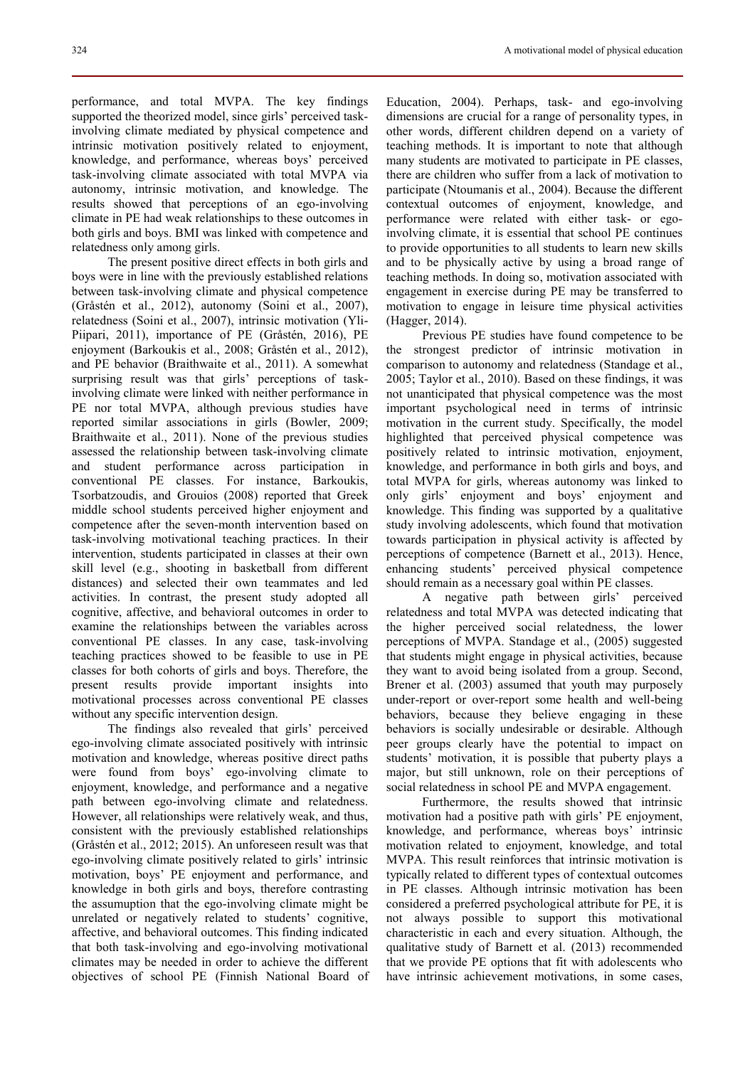performance, and total MVPA. The key findings supported the theorized model, since girls' perceived taskinvolving climate mediated by physical competence and intrinsic motivation positively related to enjoyment, knowledge, and performance, whereas boys' perceived task-involving climate associated with total MVPA via autonomy, intrinsic motivation, and knowledge. The results showed that perceptions of an ego-involving climate in PE had weak relationships to these outcomes in both girls and boys. BMI was linked with competence and relatedness only among girls.

The present positive direct effects in both girls and boys were in line with the previously established relations between task-involving climate and physical competence (Gråstén et al., 2012), autonomy (Soini et al., 2007), relatedness (Soini et al., 2007), intrinsic motivation (Yli-Piipari, 2011), importance of PE (Gråstén, 2016), PE enjoyment (Barkoukis et al., 2008; Gråstén et al., 2012), and PE behavior (Braithwaite et al., 2011). A somewhat surprising result was that girls' perceptions of taskinvolving climate were linked with neither performance in PE nor total MVPA, although previous studies have reported similar associations in girls (Bowler, 2009; Braithwaite et al., 2011). None of the previous studies assessed the relationship between task-involving climate and student performance across participation in conventional PE classes. For instance, Barkoukis, Tsorbatzoudis, and Grouios (2008) reported that Greek middle school students perceived higher enjoyment and competence after the seven-month intervention based on task-involving motivational teaching practices. In their intervention, students participated in classes at their own skill level (e.g., shooting in basketball from different distances) and selected their own teammates and led activities. In contrast, the present study adopted all cognitive, affective, and behavioral outcomes in order to examine the relationships between the variables across conventional PE classes. In any case, task-involving teaching practices showed to be feasible to use in PE classes for both cohorts of girls and boys. Therefore, the present results provide important insights into motivational processes across conventional PE classes without any specific intervention design.

The findings also revealed that girls' perceived ego-involving climate associated positively with intrinsic motivation and knowledge, whereas positive direct paths were found from boys' ego-involving climate to enjoyment, knowledge, and performance and a negative path between ego-involving climate and relatedness. However, all relationships were relatively weak, and thus, consistent with the previously established relationships (Gråstén et al., 2012; 2015). An unforeseen result was that ego-involving climate positively related to girls' intrinsic motivation, boys' PE enjoyment and performance, and knowledge in both girls and boys, therefore contrasting the assumuption that the ego-involving climate might be unrelated or negatively related to students' cognitive, affective, and behavioral outcomes. This finding indicated that both task-involving and ego-involving motivational climates may be needed in order to achieve the different objectives of school PE (Finnish National Board of Education, 2004). Perhaps, task- and ego-involving dimensions are crucial for a range of personality types, in other words, different children depend on a variety of teaching methods. It is important to note that although many students are motivated to participate in PE classes, there are children who suffer from a lack of motivation to participate (Ntoumanis et al., 2004). Because the different contextual outcomes of enjoyment, knowledge, and performance were related with either task- or egoinvolving climate, it is essential that school PE continues to provide opportunities to all students to learn new skills and to be physically active by using a broad range of teaching methods. In doing so, motivation associated with engagement in exercise during PE may be transferred to motivation to engage in leisure time physical activities (Hagger, 2014).

Previous PE studies have found competence to be the strongest predictor of intrinsic motivation in comparison to autonomy and relatedness (Standage et al., 2005; Taylor et al., 2010). Based on these findings, it was not unanticipated that physical competence was the most important psychological need in terms of intrinsic motivation in the current study. Specifically, the model highlighted that perceived physical competence was positively related to intrinsic motivation, enjoyment, knowledge, and performance in both girls and boys, and total MVPA for girls, whereas autonomy was linked to only girls' enjoyment and boys' enjoyment and knowledge. This finding was supported by a qualitative study involving adolescents, which found that motivation towards participation in physical activity is affected by perceptions of competence (Barnett et al., 2013). Hence, enhancing students' perceived physical competence should remain as a necessary goal within PE classes.

A negative path between girls' perceived relatedness and total MVPA was detected indicating that the higher perceived social relatedness, the lower perceptions of MVPA. Standage et al., (2005) suggested that students might engage in physical activities, because they want to avoid being isolated from a group. Second, Brener et al. (2003) assumed that youth may purposely under-report or over-report some health and well-being behaviors, because they believe engaging in these behaviors is socially undesirable or desirable. Although peer groups clearly have the potential to impact on students' motivation, it is possible that puberty plays a major, but still unknown, role on their perceptions of social relatedness in school PE and MVPA engagement.

Furthermore, the results showed that intrinsic motivation had a positive path with girls' PE enjoyment, knowledge, and performance, whereas boys' intrinsic motivation related to enjoyment, knowledge, and total MVPA. This result reinforces that intrinsic motivation is typically related to different types of contextual outcomes in PE classes. Although intrinsic motivation has been considered a preferred psychological attribute for PE, it is not always possible to support this motivational characteristic in each and every situation. Although, the qualitative study of Barnett et al. (2013) recommended that we provide PE options that fit with adolescents who have intrinsic achievement motivations, in some cases,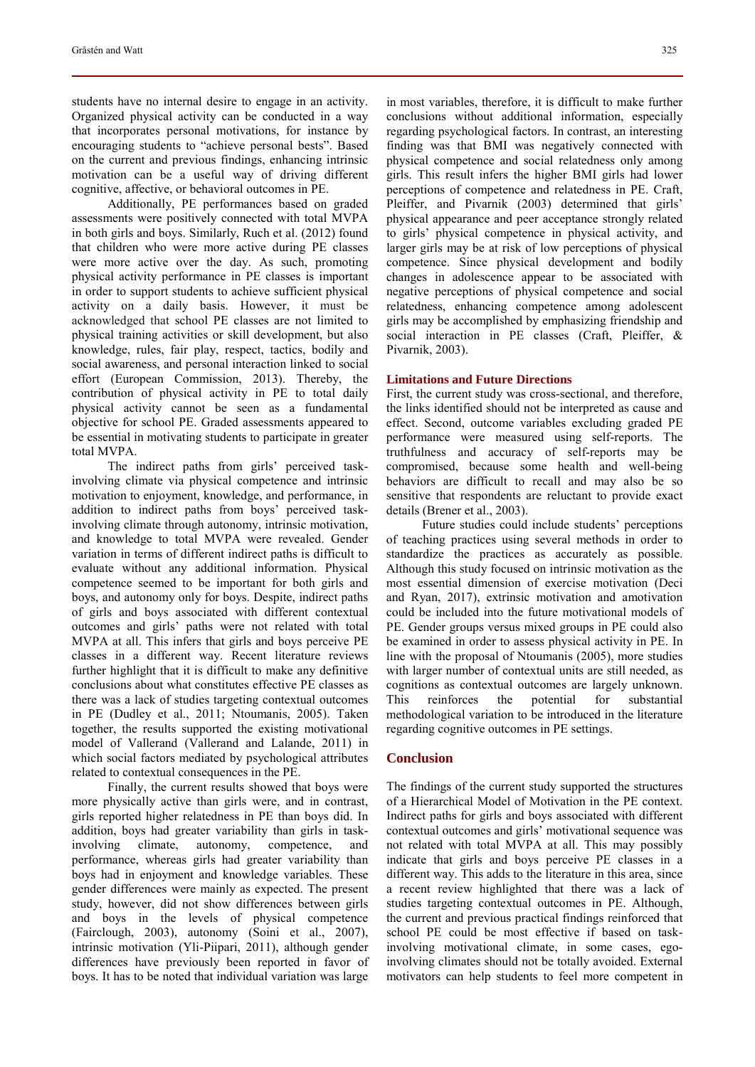students have no internal desire to engage in an activity. Organized physical activity can be conducted in a way that incorporates personal motivations, for instance by encouraging students to "achieve personal bests". Based on the current and previous findings, enhancing intrinsic motivation can be a useful way of driving different cognitive, affective, or behavioral outcomes in PE.

Additionally, PE performances based on graded assessments were positively connected with total MVPA in both girls and boys. Similarly, Ruch et al. (2012) found that children who were more active during PE classes were more active over the day. As such, promoting physical activity performance in PE classes is important in order to support students to achieve sufficient physical activity on a daily basis. However, it must be acknowledged that school PE classes are not limited to physical training activities or skill development, but also knowledge, rules, fair play, respect, tactics, bodily and social awareness, and personal interaction linked to social effort (European Commission, 2013). Thereby, the contribution of physical activity in PE to total daily physical activity cannot be seen as a fundamental objective for school PE. Graded assessments appeared to be essential in motivating students to participate in greater total MVPA.

The indirect paths from girls' perceived taskinvolving climate via physical competence and intrinsic motivation to enjoyment, knowledge, and performance, in addition to indirect paths from boys' perceived taskinvolving climate through autonomy, intrinsic motivation, and knowledge to total MVPA were revealed. Gender variation in terms of different indirect paths is difficult to evaluate without any additional information. Physical competence seemed to be important for both girls and boys, and autonomy only for boys. Despite, indirect paths of girls and boys associated with different contextual outcomes and girls' paths were not related with total MVPA at all. This infers that girls and boys perceive PE classes in a different way. Recent literature reviews further highlight that it is difficult to make any definitive conclusions about what constitutes effective PE classes as there was a lack of studies targeting contextual outcomes in PE (Dudley et al., 2011; Ntoumanis, 2005). Taken together, the results supported the existing motivational model of Vallerand (Vallerand and Lalande, 2011) in which social factors mediated by psychological attributes related to contextual consequences in the PE.

Finally, the current results showed that boys were more physically active than girls were, and in contrast, girls reported higher relatedness in PE than boys did. In addition, boys had greater variability than girls in taskinvolving climate, autonomy, competence, and performance, whereas girls had greater variability than boys had in enjoyment and knowledge variables. These gender differences were mainly as expected. The present study, however, did not show differences between girls and boys in the levels of physical competence (Fairclough, 2003), autonomy (Soini et al., 2007), intrinsic motivation (Yli-Piipari, 2011), although gender differences have previously been reported in favor of boys. It has to be noted that individual variation was large

in most variables, therefore, it is difficult to make further conclusions without additional information, especially regarding psychological factors. In contrast, an interesting finding was that BMI was negatively connected with physical competence and social relatedness only among girls. This result infers the higher BMI girls had lower perceptions of competence and relatedness in PE. Craft, Pleiffer, and Pivarnik (2003) determined that girls' physical appearance and peer acceptance strongly related to girls' physical competence in physical activity, and larger girls may be at risk of low perceptions of physical competence. Since physical development and bodily changes in adolescence appear to be associated with negative perceptions of physical competence and social relatedness, enhancing competence among adolescent girls may be accomplished by emphasizing friendship and social interaction in PE classes (Craft, Pleiffer, & Pivarnik, 2003).

#### **Limitations and Future Directions**

First, the current study was cross-sectional, and therefore, the links identified should not be interpreted as cause and effect. Second, outcome variables excluding graded PE performance were measured using self-reports. The truthfulness and accuracy of self-reports may be compromised, because some health and well-being behaviors are difficult to recall and may also be so sensitive that respondents are reluctant to provide exact details (Brener et al., 2003).

Future studies could include students' perceptions of teaching practices using several methods in order to standardize the practices as accurately as possible. Although this study focused on intrinsic motivation as the most essential dimension of exercise motivation (Deci and Ryan, 2017), extrinsic motivation and amotivation could be included into the future motivational models of PE. Gender groups versus mixed groups in PE could also be examined in order to assess physical activity in PE. In line with the proposal of Ntoumanis (2005), more studies with larger number of contextual units are still needed, as cognitions as contextual outcomes are largely unknown. This reinforces the potential for substantial methodological variation to be introduced in the literature regarding cognitive outcomes in PE settings.

#### **Conclusion**

The findings of the current study supported the structures of a Hierarchical Model of Motivation in the PE context. Indirect paths for girls and boys associated with different contextual outcomes and girls' motivational sequence was not related with total MVPA at all. This may possibly indicate that girls and boys perceive PE classes in a different way. This adds to the literature in this area, since a recent review highlighted that there was a lack of studies targeting contextual outcomes in PE. Although, the current and previous practical findings reinforced that school PE could be most effective if based on taskinvolving motivational climate, in some cases, egoinvolving climates should not be totally avoided. External motivators can help students to feel more competent in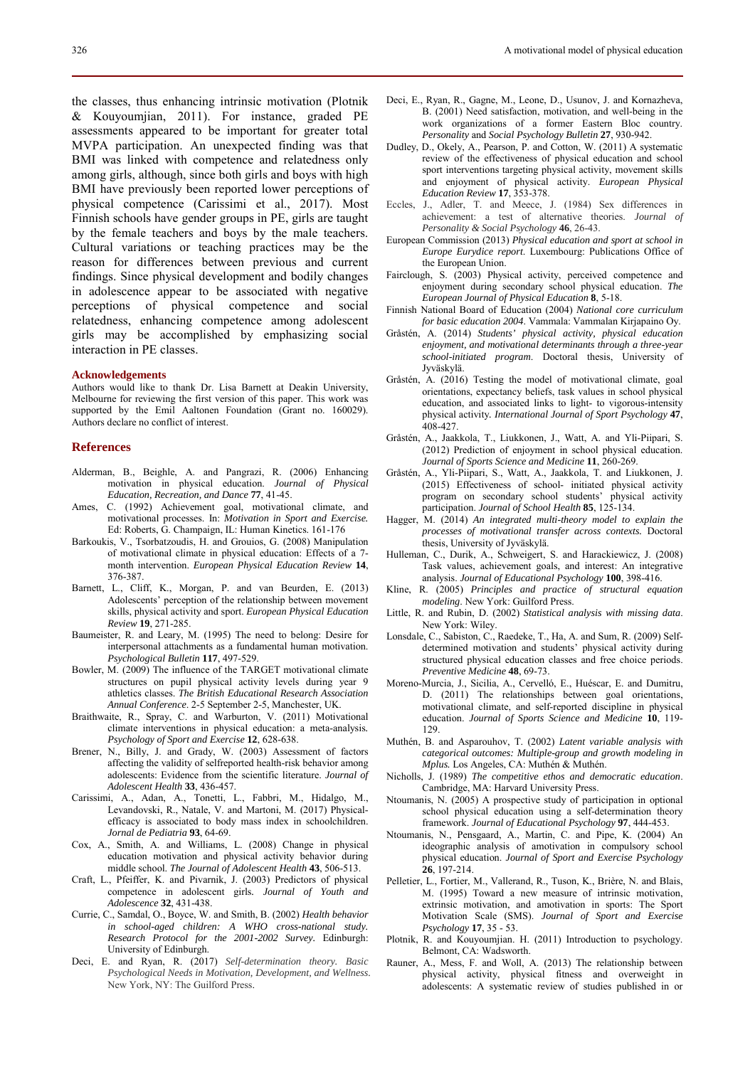the classes, thus enhancing intrinsic motivation (Plotnik & Kouyoumjian, 2011). For instance, graded PE assessments appeared to be important for greater total MVPA participation. An unexpected finding was that BMI was linked with competence and relatedness only among girls, although, since both girls and boys with high BMI have previously been reported lower perceptions of physical competence (Carissimi et al., 2017). Most Finnish schools have gender groups in PE, girls are taught by the female teachers and boys by the male teachers. Cultural variations or teaching practices may be the reason for differences between previous and current findings. Since physical development and bodily changes in adolescence appear to be associated with negative perceptions of physical competence and social relatedness, enhancing competence among adolescent girls may be accomplished by emphasizing social interaction in PE classes.

#### **Acknowledgements**

Authors would like to thank Dr. Lisa Barnett at Deakin University, Melbourne for reviewing the first version of this paper. This work was supported by the Emil Aaltonen Foundation (Grant no. 160029). Authors declare no conflict of interest.

#### **References**

- Alderman, B., Beighle, A. and Pangrazi, R. (2006) Enhancing motivation in physical education. *Journal of Physical Education, Recreation, and Dance* **77**, 41-45.
- Ames, C. (1992) Achievement goal, motivational climate, and motivational processes. In: *Motivation in Sport and Exercise.* Ed: Roberts, G. Champaign, IL: Human Kinetics. 161-176
- Barkoukis, V., Tsorbatzoudis, H. and Grouios, G. (2008) Manipulation of motivational climate in physical education: Effects of a 7 month intervention. *European Physical Education Review* **14**, 376-387.
- Barnett, L., Cliff, K., Morgan, P. and van Beurden, E. (2013) Adolescents' perception of the relationship between movement skills, physical activity and sport. *European Physical Education Review* **19**, 271-285.
- Baumeister, R. and Leary, M. (1995) The need to belong: Desire for interpersonal attachments as a fundamental human motivation. *Psychological Bulletin* **117**, 497-529.
- Bowler, M. (2009) The influence of the TARGET motivational climate structures on pupil physical activity levels during year 9 athletics classes. *The British Educational Research Association Annual Conference*. 2-5 September 2-5, Manchester, UK.
- Braithwaite, R., Spray, C. and Warburton, V. (2011) Motivational climate interventions in physical education: a meta-analysis*. Psychology of Sport and Exercise* **12**, 628-638.
- Brener, N., Billy, J. and Grady, W. (2003) Assessment of factors affecting the validity of selfreported health-risk behavior among adolescents: Evidence from the scientific literature. *Journal of Adolescent Health* **33**, 436-457.
- Carissimi, A., Adan, A., Tonetti, L., Fabbri, M., Hidalgo, M., Levandovski, R., Natale, V. and Martoni, M. (2017) Physicalefficacy is associated to body mass index in schoolchildren. *Jornal de Pediatria* **93**, 64-69.
- Cox, A., Smith, A. and Williams, L. (2008) Change in physical education motivation and physical activity behavior during middle school. *The Journal of Adolescent Health* **43**, 506-513.
- Craft, L., Pfeiffer, K. and Pivarnik, J. (2003) Predictors of physical competence in adolescent girls*. Journal of Youth and Adolescence* **32**, 431-438.
- Currie, C., Samdal, O., Boyce, W. and Smith, B. (2002) *Health behavior in school-aged children: A WHO cross-national study. Research Protocol for the 2001-2002 Survey.* Edinburgh: University of Edinburgh.
- Deci, E. and Ryan, R. (2017) *Self-determination theory. Basic Psychological Needs in Motivation, Development, and Wellness.* New York, NY: The Guilford Press.
- Dudley, D., Okely, A., Pearson, P. and Cotton, W. (2011) A systematic review of the effectiveness of physical education and school sport interventions targeting physical activity, movement skills and enjoyment of physical activity. *European Physical Education Review* **17**, 353-378.
- Eccles, J., Adler, T. and Meece, J. (1984) Sex differences in achievement: a test of alternative theories. *Journal of Personality & Social Psychology* **46**, 26-43.
- European Commission (2013) *Physical education and sport at school in Europe Eurydice report*. Luxembourg: Publications Office of the European Union.
- Fairclough, S. (2003) Physical activity, perceived competence and enjoyment during secondary school physical education. *The European Journal of Physical Education* **8**, 5-18.
- Finnish National Board of Education (2004) *National core curriculum for basic education 2004*. Vammala: Vammalan Kirjapaino Oy.
- Gråstén, A. (2014) *Students' physical activity, physical education enjoyment, and motivational determinants through a three-year school-initiated program*. Doctoral thesis, University of Jyväskylä.
- Gråstén, A. (2016) Testing the model of motivational climate, goal orientations, expectancy beliefs, task values in school physical education, and associated links to light- to vigorous-intensity physical activity*. International Journal of Sport Psychology* **47**, 408-427.
- Gråstén, A., Jaakkola, T., Liukkonen, J., Watt, A. and Yli-Piipari, S. (2012) Prediction of enjoyment in school physical education. *Journal of Sports Science and Medicine* **11**, 260-269.
- Gråstén, A., Yli-Piipari, S., Watt, A., Jaakkola, T. and Liukkonen, J. (2015) Effectiveness of school- initiated physical activity program on secondary school students' physical activity participation. *Journal of School Health* **85**, 125-134.
- Hagger, M. (2014) *An integrated multi-theory model to explain the processes of motivational transfer across contexts.* Doctoral thesis, University of Jyväskylä.
- Hulleman, C., Durik, A., Schweigert, S. and Harackiewicz, J. (2008) Task values, achievement goals, and interest: An integrative analysis. *Journal of Educational Psychology* **100**, 398-416.
- Kline, R. (2005) *Principles and practice of structural equation modeling*. New York: Guilford Press.
- Little, R. and Rubin, D. (2002) *Statistical analysis with missing data*. New York: Wiley.
- Lonsdale, C., Sabiston, C., Raedeke, T., Ha, A. and Sum, R. (2009) Selfdetermined motivation and students' physical activity during structured physical education classes and free choice periods. *Preventive Medicine* **48**, 69-73.
- Moreno-Murcia, J., Sicilia, A., Cervelló, E., Huéscar, E. and Dumitru, D. (2011) The relationships between goal orientations, motivational climate, and self-reported discipline in physical education. *Journal of Sports Science and Medicine* **10**, 119- 129.
- Muthén, B. and Asparouhov, T. (2002) *Latent variable analysis with categorical outcomes: Multiple-group and growth modeling in Mplus.* Los Angeles, CA: Muthén & Muthén.
- Nicholls, J. (1989) *The competitive ethos and democratic education*. Cambridge, MA: Harvard University Press.
- Ntoumanis, N. (2005) A prospective study of participation in optional school physical education using a self-determination theory framework. *Journal of Educational Psychology* **97**, 444-453.
- Ntoumanis, N., Pensgaard, A., Martin, C. and Pipe, K. (2004) An ideographic analysis of amotivation in compulsory school physical education. *Journal of Sport and Exercise Psychology* **26**, 197-214.
- Pelletier, L., Fortier, M., Vallerand, R., Tuson, K., Brière, N. and Blais, M. (1995) Toward a new measure of intrinsic motivation, extrinsic motivation, and amotivation in sports: The Sport Motivation Scale (SMS). *Journal of Sport and Exercise Psychology* **17**, 35 - 53.
- Plotnik, R. and Kouyoumjian. H. (2011) Introduction to psychology. Belmont, CA: Wadsworth.
- Rauner, A., Mess, F. and Woll, A. (2013) The relationship between physical activity, physical fitness and overweight in adolescents: A systematic review of studies published in or